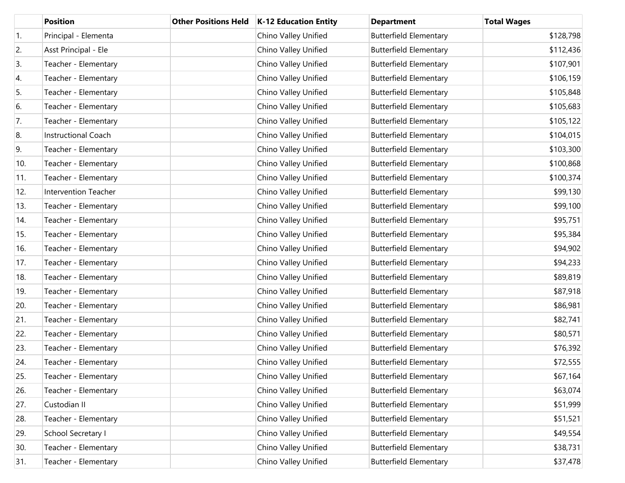|     | <b>Position</b>             | <b>Other Positions Held</b> | <b>K-12 Education Entity</b> | <b>Department</b>             | <b>Total Wages</b> |
|-----|-----------------------------|-----------------------------|------------------------------|-------------------------------|--------------------|
| 1.  | Principal - Elementa        |                             | Chino Valley Unified         | <b>Butterfield Elementary</b> | \$128,798          |
| 2.  | Asst Principal - Ele        |                             | Chino Valley Unified         | <b>Butterfield Elementary</b> | \$112,436          |
| 3.  | Teacher - Elementary        |                             | Chino Valley Unified         | <b>Butterfield Elementary</b> | \$107,901          |
| 4.  | Teacher - Elementary        |                             | Chino Valley Unified         | <b>Butterfield Elementary</b> | \$106,159          |
| 5.  | Teacher - Elementary        |                             | Chino Valley Unified         | <b>Butterfield Elementary</b> | \$105,848          |
| 6.  | Teacher - Elementary        |                             | Chino Valley Unified         | <b>Butterfield Elementary</b> | \$105,683          |
| 7.  | Teacher - Elementary        |                             | Chino Valley Unified         | <b>Butterfield Elementary</b> | \$105,122          |
| 8.  | Instructional Coach         |                             | Chino Valley Unified         | <b>Butterfield Elementary</b> | \$104,015          |
| 9.  | Teacher - Elementary        |                             | Chino Valley Unified         | <b>Butterfield Elementary</b> | \$103,300          |
| 10. | Teacher - Elementary        |                             | Chino Valley Unified         | <b>Butterfield Elementary</b> | \$100,868          |
| 11. | Teacher - Elementary        |                             | Chino Valley Unified         | <b>Butterfield Elementary</b> | \$100,374          |
| 12. | <b>Intervention Teacher</b> |                             | Chino Valley Unified         | <b>Butterfield Elementary</b> | \$99,130           |
| 13. | Teacher - Elementary        |                             | Chino Valley Unified         | <b>Butterfield Elementary</b> | \$99,100           |
| 14. | Teacher - Elementary        |                             | Chino Valley Unified         | <b>Butterfield Elementary</b> | \$95,751           |
| 15. | Teacher - Elementary        |                             | Chino Valley Unified         | <b>Butterfield Elementary</b> | \$95,384           |
| 16. | Teacher - Elementary        |                             | Chino Valley Unified         | <b>Butterfield Elementary</b> | \$94,902           |
| 17. | Teacher - Elementary        |                             | Chino Valley Unified         | <b>Butterfield Elementary</b> | \$94,233           |
| 18. | Teacher - Elementary        |                             | Chino Valley Unified         | <b>Butterfield Elementary</b> | \$89,819           |
| 19. | Teacher - Elementary        |                             | Chino Valley Unified         | <b>Butterfield Elementary</b> | \$87,918           |
| 20. | Teacher - Elementary        |                             | Chino Valley Unified         | <b>Butterfield Elementary</b> | \$86,981           |
| 21. | Teacher - Elementary        |                             | Chino Valley Unified         | <b>Butterfield Elementary</b> | \$82,741           |
| 22. | Teacher - Elementary        |                             | Chino Valley Unified         | <b>Butterfield Elementary</b> | \$80,571           |
| 23. | Teacher - Elementary        |                             | Chino Valley Unified         | <b>Butterfield Elementary</b> | \$76,392           |
| 24. | Teacher - Elementary        |                             | Chino Valley Unified         | <b>Butterfield Elementary</b> | \$72,555           |
| 25. | Teacher - Elementary        |                             | Chino Valley Unified         | <b>Butterfield Elementary</b> | \$67,164           |
| 26. | Teacher - Elementary        |                             | Chino Valley Unified         | <b>Butterfield Elementary</b> | \$63,074           |
| 27. | Custodian II                |                             | Chino Valley Unified         | <b>Butterfield Elementary</b> | \$51,999           |
| 28. | Teacher - Elementary        |                             | Chino Valley Unified         | <b>Butterfield Elementary</b> | \$51,521           |
| 29. | School Secretary I          |                             | Chino Valley Unified         | <b>Butterfield Elementary</b> | \$49,554           |
| 30. | Teacher - Elementary        |                             | Chino Valley Unified         | <b>Butterfield Elementary</b> | \$38,731           |
| 31. | Teacher - Elementary        |                             | Chino Valley Unified         | <b>Butterfield Elementary</b> | \$37,478           |